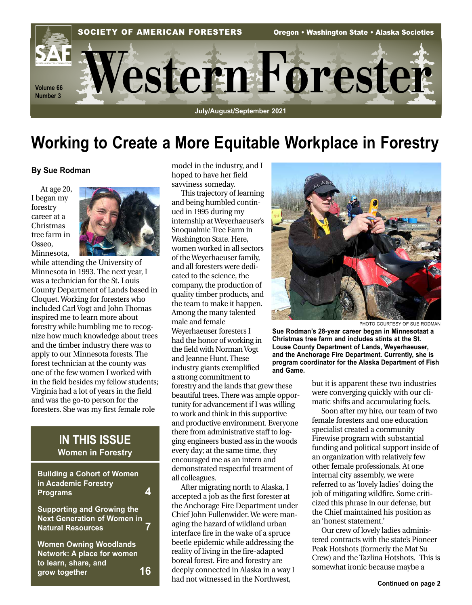

# **Working to Create a More Equitable Workplace in Forestry**

#### **By Sue Rodman**

At age 20, I began my forestry career at a Christmas tree farm in Osseo, Minnesota,



while attending the University of Minnesota in 1993. The next year, I was a technician for the St. Louis County Department of Lands based in Cloquet. Working for foresters who included Carl Vogt and John Thomas inspired me to learn more about forestry while humbling me to recognize how much knowledge about trees and the timber industry there was to apply to our Minnesota forests. The forest technician at the county was one of the few women I worked with in the field besides my fellow students; Virginia had a lot of years in the field and was the go-to person for the foresters. She was my first female role

### **IN THIS ISSUE Women in Forestry**

| <b>Building a Cohort of Women</b><br>in Academic Forestry<br><b>Programs</b>                        |  |
|-----------------------------------------------------------------------------------------------------|--|
| <b>Supporting and Growing the</b><br><b>Next Generation of Women in</b><br><b>Natural Resources</b> |  |
| <b>Women Owning Woodlands</b><br>Network: A place for women<br>to learn, share, and                 |  |
| grow together                                                                                       |  |

model in the industry, and I hoped to have her field savviness someday.

This trajectory of learning and being humbled continued in 1995 during my internship at Weyerhaeuser's Snoqualmie Tree Farm in Washington State. Here, women worked in all sectors of the Weyerhaeuser family, and all foresters were dedicated to the science, the company, the production of quality timber products, and the team to make it happen. Among the many talented male and female Weyerhaeuser foresters I had the honor of working in the field with Norman Vogt and Jeanne Hunt. These industry giants exemplified a strong commitment to forestry and the lands that grew these beautiful trees. There was ample opportunity for advancement if I was willing to work and think in this supportive and productive environment. Everyone there from administrative staff to logging engineers busted ass in the woods every day; at the same time, they encouraged me as an intern and demonstrated respectful treatment of all colleagues.

After migrating north to Alaska, I accepted a job as the first forester at the Anchorage Fire Department under Chief John Fullenwider. We were managing the hazard of wildland urban interface fire in the wake of a spruce beetle epidemic while addressing the reality of living in the fire-adapted boreal forest. Fire and forestry are deeply connected in Alaska in a way I had not witnessed in the Northwest,



PHOTO COURTESY OF SUE RODMAN

**Sue Rodman's 28-year career began in Minnesotaat a Christmas tree farm and includes stints at the St. Louse County Department of Lands, Weyerhaeuser, and the Anchorage Fire Department. Currently, she is program coordinator for the Alaska Department of Fish and Game.**

> but it is apparent these two industries were converging quickly with our climatic shifts and accumulating fuels.

Soon after my hire, our team of two female foresters and one education specialist created a community Firewise program with substantial funding and political support inside of an organization with relatively few other female professionals. At one internal city assembly, we were referred to as 'lovely ladies' doing the job of mitigating wildfire. Some criticized this phrase in our defense, but the Chief maintained his position as an 'honest statement.'

Our crew of lovely ladies administered contracts with the state's Pioneer Peak Hotshots (formerly the Mat Su Crew) and the Tazlina Hotshots. This is somewhat ironic because maybe a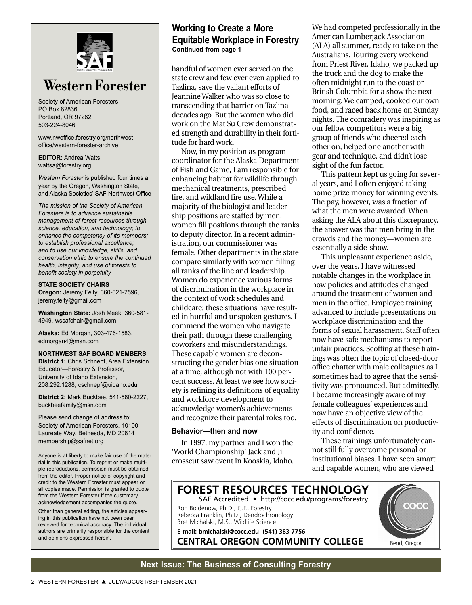

## **Western Forester**

Society of American Foresters PO Box 82836 Portland, OR 97282 503-224-8046

www.nwoffice.forestry.org/northwestoffice/western-forester-archive

**EDITOR:** Andrea Watts wattsa@forestry.org

*Western Forester* is published four times a year by the Oregon, Washington State, and Alaska Societies' SAF Northwest Office

*The mission of the Society of American Foresters is to advance sustainable management of forest resources through science, education, and technology; to enhance the competency of its members; to establish professional excellence; and to use our knowledge, skills, and conservation ethic to ensure the continued health, integrity, and use of forests to benefit society in perpetuity.*

**STATE SOCIETY CHAIRS Oregon:** Jeremy Felty, 360-621-7596, jeremy.felty@gmail.com

**Washington State:** Josh Meek, 360-581- 4949, wssafchair@gmail.com

**Alaska:** Ed Morgan, 303-476-1583, edmorgan4@msn.com

**NORTHWEST SAF BOARD MEMBERS**

**District 1:** Chris Schnepf, Area Extension Educator—Forestry & Professor, University of Idaho Extension, 208.292.1288, cschnepf@uidaho.edu

**District 2:** Mark Buckbee, 541-580-2227, buckbeefamily@msn.com

Please send change of address to: Society of American Foresters, 10100 Laureate Way, Bethesda, MD 20814 membership@safnet.org

Anyone is at liberty to make fair use of the material in this publication. To reprint or make multiple reproductions, permission must be obtained from the editor. Proper notice of copyright and credit to the Western Forester must appear on all copies made. Permission is granted to quote from the Western Forester if the customary acknowledgement accompanies the quote.

Other than general editing, the articles appearing in this publication have not been peer reviewed for technical accuracy. The individual authors are primarily responsible for the content and opinions expressed herein.

#### **Working to Create a More Equitable Workplace in Forestry Continued from page 1**

handful of women ever served on the state crew and few ever even applied to Tazlina, save the valiant efforts of Jeannine Walker who was so close to transcending that barrier on Tazlina decades ago. But the women who did work on the Mat Su Crew demonstrated strength and durability in their fortitude for hard work.

Now, in my position as program coordinator for the Alaska Department of Fish and Game, I am responsible for enhancing habitat for wildlife through mechanical treatments, prescribed fire, and wildland fire use. While a majority of the biologist and leadership positions are staffed by men, women fill positions through the ranks to deputy director. In a recent administration, our commissioner was female. Other departments in the state compare similarly with women filling all ranks of the line and leadership. Women do experience various forms of discrimination in the workplace in the context of work schedules and childcare; these situations have resulted in hurtful and unspoken gestures. I commend the women who navigate their path through these challenging coworkers and misunderstandings. These capable women are deconstructing the gender bias one situation at a time, although not with 100 percent success. At least we see how society is refining its definitions of equality and workforce development to acknowledge women's achievements and recognize their parental roles too.

#### **Behavior—then and now**

In 1997, my partner and I won the 'World Championship' Jack and Jill crosscut saw event in Kooskia, Idaho. We had competed professionally in the American Lumberjack Association (ALA) all summer, ready to take on the Australians. Touring every weekend from Priest River, Idaho, we packed up the truck and the dog to make the often midnight run to the coast or British Columbia for a show the next morning. We camped, cooked our own food, and raced back home on Sunday nights. The comradery was inspiring as our fellow competitors were a big group of friends who cheered each other on, helped one another with gear and technique, and didn't lose sight of the fun factor.

This pattern kept us going for several years, and I often enjoyed taking home prize money for winning events. The pay, however, was a fraction of what the men were awarded. When asking the ALA about this discrepancy, the answer was that men bring in the crowds and the money—women are essentially a side-show.

This unpleasant experience aside, over the years, I have witnessed notable changes in the workplace in how policies and attitudes changed around the treatment of women and men in the office. Employee training advanced to include presentations on workplace discrimination and the forms of sexual harassment. Staff often now have safe mechanisms to report unfair practices. Scoffing at these trainings was often the topic of closed-door office chatter with male colleagues as I sometimes had to agree that the sensitivity was pronounced. But admittedly, I became increasingly aware of my female colleagues' experiences and now have an objective view of the effects of discrimination on productivity and confidence.

These trainings unfortunately cannot still fully overcome personal or institutional biases. I have seen smart and capable women, who are viewed



#### **Next Issue: The Business of Consulting Forestry**